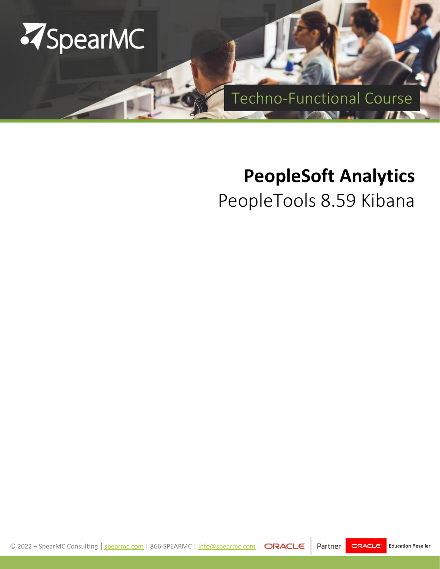

# **PeopleSoft Analytics**

PeopleTools 8.59 Kibana